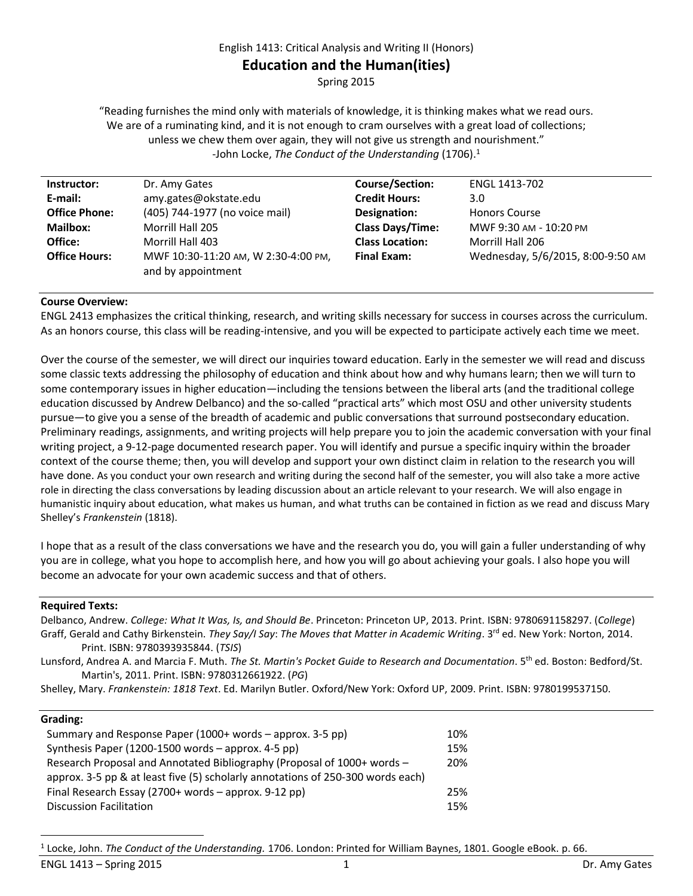#### English 1413: Critical Analysis and Writing II (Honors)

# **Education and the Human(ities)**

Spring 2015

"Reading furnishes the mind only with materials of knowledge, it is thinking makes what we read ours. We are of a ruminating kind, and it is not enough to cram ourselves with a great load of collections; unless we chew them over again, they will not give us strength and nourishment." -John Locke, *The Conduct of the Understanding* (1706).<sup>1</sup>

| Instructor:          | Dr. Amy Gates                       | <b>Course/Section:</b>  | ENGL 1413-702                     |
|----------------------|-------------------------------------|-------------------------|-----------------------------------|
| E-mail:              | amy.gates@okstate.edu               | <b>Credit Hours:</b>    | 3.0                               |
| <b>Office Phone:</b> | (405) 744-1977 (no voice mail)      | Designation:            | <b>Honors Course</b>              |
| <b>Mailbox:</b>      | Morrill Hall 205                    | <b>Class Days/Time:</b> | MWF 9:30 AM - 10:20 PM            |
| Office:              | Morrill Hall 403                    | <b>Class Location:</b>  | Morrill Hall 206                  |
| <b>Office Hours:</b> | MWF 10:30-11:20 AM, W 2:30-4:00 PM, | <b>Final Exam:</b>      | Wednesday, 5/6/2015, 8:00-9:50 AM |
|                      | and by appointment                  |                         |                                   |

#### **Course Overview:**

ENGL 2413 emphasizes the critical thinking, research, and writing skills necessary for success in courses across the curriculum. As an honors course, this class will be reading-intensive, and you will be expected to participate actively each time we meet.

Over the course of the semester, we will direct our inquiries toward education. Early in the semester we will read and discuss some classic texts addressing the philosophy of education and think about how and why humans learn; then we will turn to some contemporary issues in higher education—including the tensions between the liberal arts (and the traditional college education discussed by Andrew Delbanco) and the so-called "practical arts" which most OSU and other university students pursue—to give you a sense of the breadth of academic and public conversations that surround postsecondary education. Preliminary readings, assignments, and writing projects will help prepare you to join the academic conversation with your final writing project, a 9-12-page documented research paper. You will identify and pursue a specific inquiry within the broader context of the course theme; then, you will develop and support your own distinct claim in relation to the research you will have done. As you conduct your own research and writing during the second half of the semester, you will also take a more active role in directing the class conversations by leading discussion about an article relevant to your research. We will also engage in humanistic inquiry about education, what makes us human, and what truths can be contained in fiction as we read and discuss Mary Shelley's *Frankenstein* (1818).

I hope that as a result of the class conversations we have and the research you do, you will gain a fuller understanding of why you are in college, what you hope to accomplish here, and how you will go about achieving your goals. I also hope you will become an advocate for your own academic success and that of others.

### **Required Texts:**

| Delbanco, Andrew. College: What It Was, Is, and Should Be. Princeton: Princeton UP, 2013. Print. ISBN: 9780691158297. (College)             |
|---------------------------------------------------------------------------------------------------------------------------------------------|
| Graff, Gerald and Cathy Birkenstein. They Say/I Say: The Moves that Matter in Academic Writing. 3 <sup>rd</sup> ed. New York: Norton, 2014. |
| Print. ISBN: 9780393935844. (TSIS)                                                                                                          |
| Lunsford, Andrea A. and Marcia F. Muth. The St. Martin's Pocket Guide to Research and Documentation. 5th ed. Boston: Bedford/St.            |
| Martin's, 2011. Print. ISBN: 9780312661922. (PG)                                                                                            |
| Shelley, Mary. Frankenstein: 1818 Text. Ed. Marilyn Butler. Oxford/New York: Oxford UP, 2009. Print. ISBN: 9780199537150.                   |
|                                                                                                                                             |

# **Grading:**

 $\overline{\phantom{a}}$ 

| Summary and Response Paper (1000+ words – approx. 3-5 pp)                       | 10% |
|---------------------------------------------------------------------------------|-----|
| Synthesis Paper (1200-1500 words $-$ approx. 4-5 pp)                            | 15% |
| Research Proposal and Annotated Bibliography (Proposal of 1000+ words -         | 20% |
| approx. 3-5 pp & at least five (5) scholarly annotations of 250-300 words each) |     |
| Final Research Essay (2700+ words $-$ approx. 9-12 pp)                          | 25% |
| <b>Discussion Facilitation</b>                                                  | 15% |

<sup>1</sup> Locke, John. *The Conduct of the Understanding.* 1706. London: Printed for William Baynes, 1801. Google eBook. p. 66.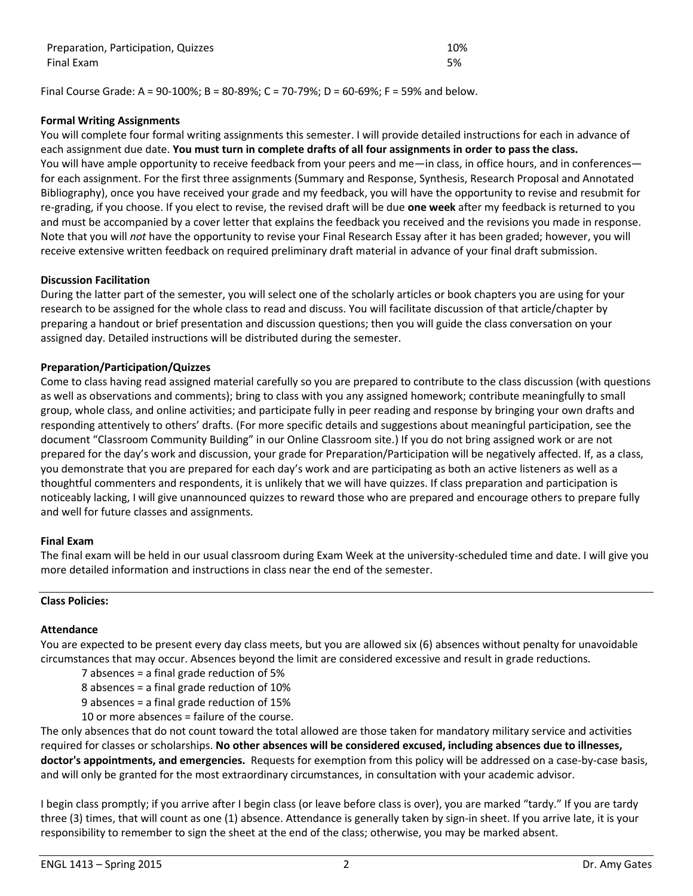| Preparation, Participation, Quizzes | 10% |
|-------------------------------------|-----|
| Final Exam                          | 5%  |

Final Course Grade: A = 90-100%; B = 80-89%; C = 70-79%; D = 60-69%; F = 59% and below.

### **Formal Writing Assignments**

You will complete four formal writing assignments this semester. I will provide detailed instructions for each in advance of each assignment due date. **You must turn in complete drafts of all four assignments in order to pass the class.** You will have ample opportunity to receive feedback from your peers and me—in class, in office hours, and in conferences for each assignment. For the first three assignments (Summary and Response, Synthesis, Research Proposal and Annotated Bibliography), once you have received your grade and my feedback, you will have the opportunity to revise and resubmit for re-grading, if you choose. If you elect to revise, the revised draft will be due **one week** after my feedback is returned to you and must be accompanied by a cover letter that explains the feedback you received and the revisions you made in response. Note that you will *not* have the opportunity to revise your Final Research Essay after it has been graded; however, you will receive extensive written feedback on required preliminary draft material in advance of your final draft submission.

### **Discussion Facilitation**

During the latter part of the semester, you will select one of the scholarly articles or book chapters you are using for your research to be assigned for the whole class to read and discuss. You will facilitate discussion of that article/chapter by preparing a handout or brief presentation and discussion questions; then you will guide the class conversation on your assigned day. Detailed instructions will be distributed during the semester.

# **Preparation/Participation/Quizzes**

Come to class having read assigned material carefully so you are prepared to contribute to the class discussion (with questions as well as observations and comments); bring to class with you any assigned homework; contribute meaningfully to small group, whole class, and online activities; and participate fully in peer reading and response by bringing your own drafts and responding attentively to others' drafts. (For more specific details and suggestions about meaningful participation, see the document "Classroom Community Building" in our Online Classroom site.) If you do not bring assigned work or are not prepared for the day's work and discussion, your grade for Preparation/Participation will be negatively affected. If, as a class, you demonstrate that you are prepared for each day's work and are participating as both an active listeners as well as a thoughtful commenters and respondents, it is unlikely that we will have quizzes. If class preparation and participation is noticeably lacking, I will give unannounced quizzes to reward those who are prepared and encourage others to prepare fully and well for future classes and assignments.

### **Final Exam**

The final exam will be held in our usual classroom during Exam Week at the university-scheduled time and date. I will give you more detailed information and instructions in class near the end of the semester.

### **Class Policies:**

### **Attendance**

You are expected to be present every day class meets, but you are allowed six (6) absences without penalty for unavoidable circumstances that may occur. Absences beyond the limit are considered excessive and result in grade reductions.

- 7 absences = a final grade reduction of 5%
- 8 absences = a final grade reduction of 10%
- 9 absences = a final grade reduction of 15%
- 10 or more absences = failure of the course.

The only absences that do not count toward the total allowed are those taken for mandatory military service and activities required for classes or scholarships. **No other absences will be considered excused, including absences due to illnesses, doctor's appointments, and emergencies.** Requests for exemption from this policy will be addressed on a case-by-case basis, and will only be granted for the most extraordinary circumstances, in consultation with your academic advisor.

I begin class promptly; if you arrive after I begin class (or leave before class is over), you are marked "tardy." If you are tardy three (3) times, that will count as one (1) absence. Attendance is generally taken by sign-in sheet. If you arrive late, it is your responsibility to remember to sign the sheet at the end of the class; otherwise, you may be marked absent.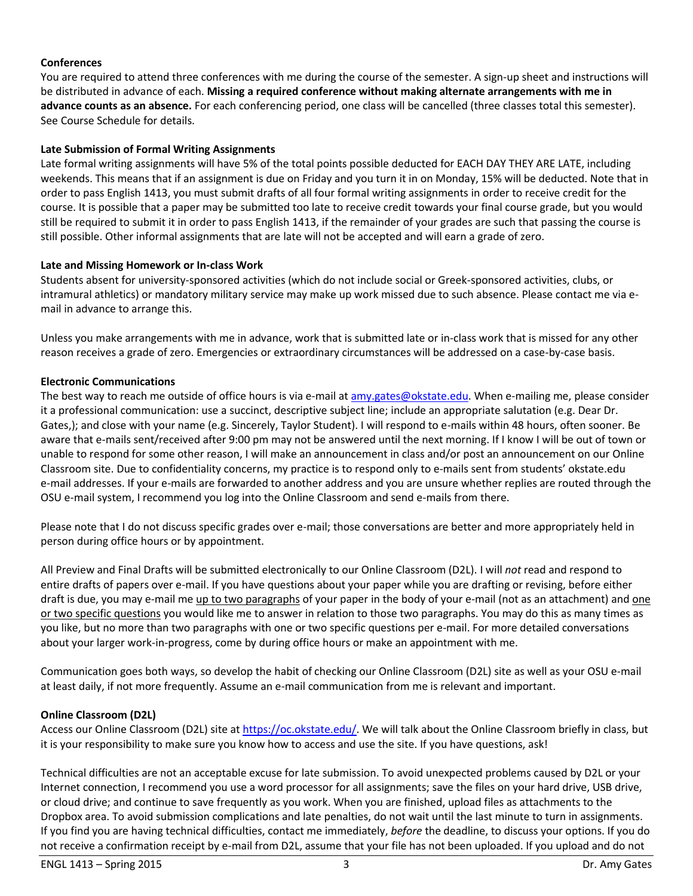# **Conferences**

You are required to attend three conferences with me during the course of the semester. A sign-up sheet and instructions will be distributed in advance of each. **Missing a required conference without making alternate arrangements with me in advance counts as an absence.** For each conferencing period, one class will be cancelled (three classes total this semester). See Course Schedule for details.

### **Late Submission of Formal Writing Assignments**

Late formal writing assignments will have 5% of the total points possible deducted for EACH DAY THEY ARE LATE, including weekends. This means that if an assignment is due on Friday and you turn it in on Monday, 15% will be deducted. Note that in order to pass English 1413, you must submit drafts of all four formal writing assignments in order to receive credit for the course. It is possible that a paper may be submitted too late to receive credit towards your final course grade, but you would still be required to submit it in order to pass English 1413, if the remainder of your grades are such that passing the course is still possible. Other informal assignments that are late will not be accepted and will earn a grade of zero.

#### **Late and Missing Homework or In-class Work**

Students absent for university-sponsored activities (which do not include social or Greek-sponsored activities, clubs, or intramural athletics) or mandatory military service may make up work missed due to such absence. Please contact me via email in advance to arrange this.

Unless you make arrangements with me in advance, work that is submitted late or in-class work that is missed for any other reason receives a grade of zero. Emergencies or extraordinary circumstances will be addressed on a case-by-case basis.

#### **Electronic Communications**

The best way to reach me outside of office hours is via e-mail at [amy.gates@okstate.edu.](mailto:amy.gates@okstate.edu) When e-mailing me, please consider it a professional communication: use a succinct, descriptive subject line; include an appropriate salutation (e.g. Dear Dr. Gates,); and close with your name (e.g. Sincerely, Taylor Student). I will respond to e-mails within 48 hours, often sooner. Be aware that e-mails sent/received after 9:00 pm may not be answered until the next morning. If I know I will be out of town or unable to respond for some other reason, I will make an announcement in class and/or post an announcement on our Online Classroom site. Due to confidentiality concerns, my practice is to respond only to e-mails sent from students' okstate.edu e-mail addresses. If your e-mails are forwarded to another address and you are unsure whether replies are routed through the OSU e-mail system, I recommend you log into the Online Classroom and send e-mails from there.

Please note that I do not discuss specific grades over e-mail; those conversations are better and more appropriately held in person during office hours or by appointment.

All Preview and Final Drafts will be submitted electronically to our Online Classroom (D2L). I will *not* read and respond to entire drafts of papers over e-mail. If you have questions about your paper while you are drafting or revising, before either draft is due, you may e-mail me up to two paragraphs of your paper in the body of your e-mail (not as an attachment) and one or two specific questions you would like me to answer in relation to those two paragraphs. You may do this as many times as you like, but no more than two paragraphs with one or two specific questions per e-mail. For more detailed conversations about your larger work-in-progress, come by during office hours or make an appointment with me.

Communication goes both ways, so develop the habit of checking our Online Classroom (D2L) site as well as your OSU e-mail at least daily, if not more frequently. Assume an e-mail communication from me is relevant and important.

### **Online Classroom (D2L)**

Access our Online Classroom (D2L) site a[t https://oc.okstate.edu/.](https://oc.okstate.edu/) We will talk about the Online Classroom briefly in class, but it is your responsibility to make sure you know how to access and use the site. If you have questions, ask!

Technical difficulties are not an acceptable excuse for late submission. To avoid unexpected problems caused by D2L or your Internet connection, I recommend you use a word processor for all assignments; save the files on your hard drive, USB drive, or cloud drive; and continue to save frequently as you work. When you are finished, upload files as attachments to the Dropbox area. To avoid submission complications and late penalties, do not wait until the last minute to turn in assignments. If you find you are having technical difficulties, contact me immediately, *before* the deadline, to discuss your options. If you do not receive a confirmation receipt by e-mail from D2L, assume that your file has not been uploaded. If you upload and do not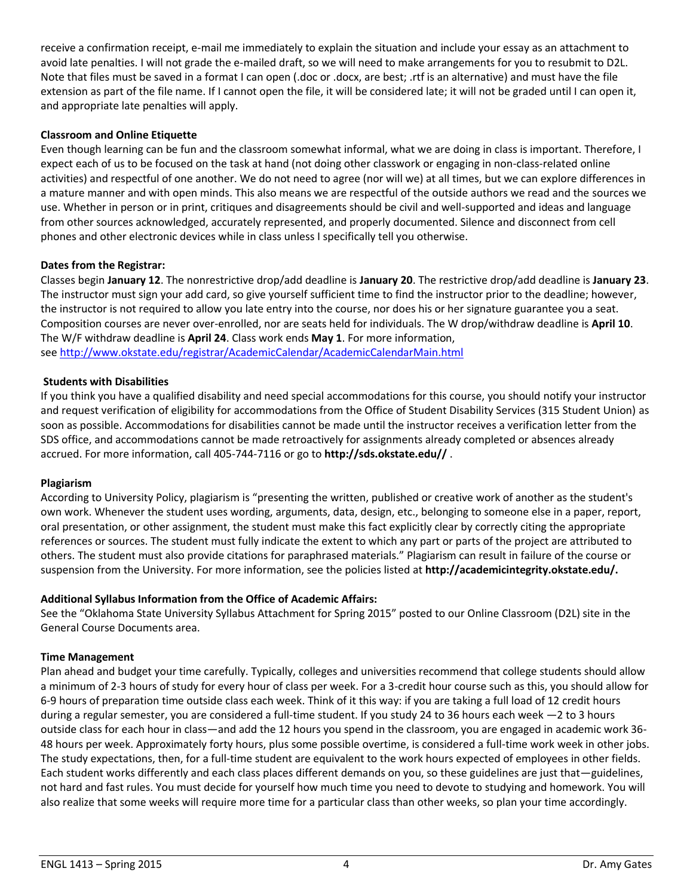receive a confirmation receipt, e-mail me immediately to explain the situation and include your essay as an attachment to avoid late penalties. I will not grade the e-mailed draft, so we will need to make arrangements for you to resubmit to D2L. Note that files must be saved in a format I can open (.doc or .docx, are best; .rtf is an alternative) and must have the file extension as part of the file name. If I cannot open the file, it will be considered late; it will not be graded until I can open it, and appropriate late penalties will apply.

### **Classroom and Online Etiquette**

Even though learning can be fun and the classroom somewhat informal, what we are doing in class is important. Therefore, I expect each of us to be focused on the task at hand (not doing other classwork or engaging in non-class-related online activities) and respectful of one another. We do not need to agree (nor will we) at all times, but we can explore differences in a mature manner and with open minds. This also means we are respectful of the outside authors we read and the sources we use. Whether in person or in print, critiques and disagreements should be civil and well-supported and ideas and language from other sources acknowledged, accurately represented, and properly documented. Silence and disconnect from cell phones and other electronic devices while in class unless I specifically tell you otherwise.

# **Dates from the Registrar:**

Classes begin **January 12**. The nonrestrictive drop/add deadline is **January 20**. The restrictive drop/add deadline is **January 23**. The instructor must sign your add card, so give yourself sufficient time to find the instructor prior to the deadline; however, the instructor is not required to allow you late entry into the course, nor does his or her signature guarantee you a seat. Composition courses are never over-enrolled, nor are seats held for individuals. The W drop/withdraw deadline is **April 10**. The W/F withdraw deadline is **April 24**. Class work ends **May 1**. For more information, see <http://www.okstate.edu/registrar/AcademicCalendar/AcademicCalendarMain.html>

### **Students with Disabilities**

If you think you have a qualified disability and need special accommodations for this course, you should notify your instructor and request verification of eligibility for accommodations from the Office of Student Disability Services (315 Student Union) as soon as possible. Accommodations for disabilities cannot be made until the instructor receives a verification letter from the SDS office, and accommodations cannot be made retroactively for assignments already completed or absences already accrued. For more information, call 405-744-7116 or go to **http://sds.okstate.edu//** .

### **Plagiarism**

According to University Policy, plagiarism is "presenting the written, published or creative work of another as the student's own work. Whenever the student uses wording, arguments, data, design, etc., belonging to someone else in a paper, report, oral presentation, or other assignment, the student must make this fact explicitly clear by correctly citing the appropriate references or sources. The student must fully indicate the extent to which any part or parts of the project are attributed to others. The student must also provide citations for paraphrased materials." Plagiarism can result in failure of the course or suspension from the University. For more information, see the policies listed at **http://academicintegrity.okstate.edu/.**

### **Additional Syllabus Information from the Office of Academic Affairs:**

See the "Oklahoma State University Syllabus Attachment for Spring 2015" posted to our Online Classroom (D2L) site in the General Course Documents area.

### **Time Management**

Plan ahead and budget your time carefully. Typically, colleges and universities recommend that college students should allow a minimum of 2-3 hours of study for every hour of class per week. For a 3-credit hour course such as this, you should allow for 6-9 hours of preparation time outside class each week. Think of it this way: if you are taking a full load of 12 credit hours during a regular semester, you are considered a full-time student. If you study 24 to 36 hours each week —2 to 3 hours outside class for each hour in class—and add the 12 hours you spend in the classroom, you are engaged in academic work 36- 48 hours per week. Approximately forty hours, plus some possible overtime, is considered a full-time work week in other jobs. The study expectations, then, for a full-time student are equivalent to the work hours expected of employees in other fields. Each student works differently and each class places different demands on you, so these guidelines are just that—guidelines, not hard and fast rules. You must decide for yourself how much time you need to devote to studying and homework. You will also realize that some weeks will require more time for a particular class than other weeks, so plan your time accordingly.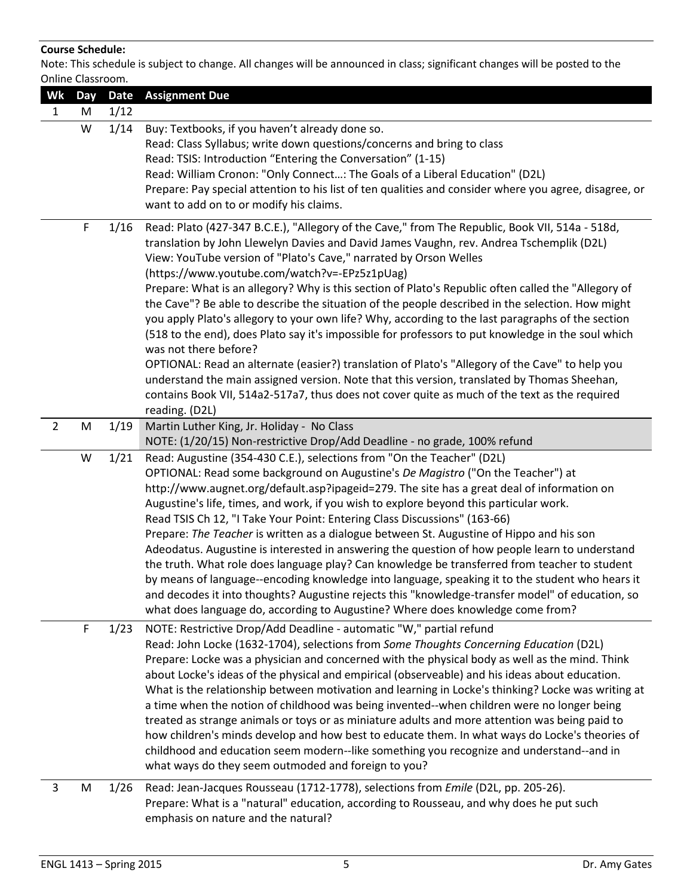### **Course Schedule:**

Note: This schedule is subject to change. All changes will be announced in class; significant changes will be posted to the Online Classroom.

|                | טוווווכ כומאס אוווווט. |             |                                                                                                                                                                                                                                                                                                                                                                                                                                                                                                                                                                                                                                                                                                                                                                                                                                                                                                                                                                                                                                                                     |
|----------------|------------------------|-------------|---------------------------------------------------------------------------------------------------------------------------------------------------------------------------------------------------------------------------------------------------------------------------------------------------------------------------------------------------------------------------------------------------------------------------------------------------------------------------------------------------------------------------------------------------------------------------------------------------------------------------------------------------------------------------------------------------------------------------------------------------------------------------------------------------------------------------------------------------------------------------------------------------------------------------------------------------------------------------------------------------------------------------------------------------------------------|
| Wk             | <b>Day</b>             | <b>Date</b> | <b>Assignment Due</b>                                                                                                                                                                                                                                                                                                                                                                                                                                                                                                                                                                                                                                                                                                                                                                                                                                                                                                                                                                                                                                               |
| $\mathbf{1}$   | M                      | 1/12        |                                                                                                                                                                                                                                                                                                                                                                                                                                                                                                                                                                                                                                                                                                                                                                                                                                                                                                                                                                                                                                                                     |
|                | W                      | 1/14        | Buy: Textbooks, if you haven't already done so.<br>Read: Class Syllabus; write down questions/concerns and bring to class<br>Read: TSIS: Introduction "Entering the Conversation" (1-15)<br>Read: William Cronon: "Only Connect: The Goals of a Liberal Education" (D2L)<br>Prepare: Pay special attention to his list of ten qualities and consider where you agree, disagree, or                                                                                                                                                                                                                                                                                                                                                                                                                                                                                                                                                                                                                                                                                  |
|                |                        |             | want to add on to or modify his claims.                                                                                                                                                                                                                                                                                                                                                                                                                                                                                                                                                                                                                                                                                                                                                                                                                                                                                                                                                                                                                             |
|                | $\mathsf F$            | 1/16        | Read: Plato (427-347 B.C.E.), "Allegory of the Cave," from The Republic, Book VII, 514a - 518d,<br>translation by John Llewelyn Davies and David James Vaughn, rev. Andrea Tschemplik (D2L)<br>View: YouTube version of "Plato's Cave," narrated by Orson Welles<br>(https://www.youtube.com/watch?v=-EPz5z1pUag)<br>Prepare: What is an allegory? Why is this section of Plato's Republic often called the "Allegory of<br>the Cave"? Be able to describe the situation of the people described in the selection. How might<br>you apply Plato's allegory to your own life? Why, according to the last paragraphs of the section<br>(518 to the end), does Plato say it's impossible for professors to put knowledge in the soul which<br>was not there before?<br>OPTIONAL: Read an alternate (easier?) translation of Plato's "Allegory of the Cave" to help you<br>understand the main assigned version. Note that this version, translated by Thomas Sheehan,<br>contains Book VII, 514a2-517a7, thus does not cover quite as much of the text as the required |
|                |                        |             | reading. (D2L)                                                                                                                                                                                                                                                                                                                                                                                                                                                                                                                                                                                                                                                                                                                                                                                                                                                                                                                                                                                                                                                      |
| $\overline{2}$ | M                      | 1/19        | Martin Luther King, Jr. Holiday - No Class<br>NOTE: (1/20/15) Non-restrictive Drop/Add Deadline - no grade, 100% refund                                                                                                                                                                                                                                                                                                                                                                                                                                                                                                                                                                                                                                                                                                                                                                                                                                                                                                                                             |
|                | W                      | 1/21        | Read: Augustine (354-430 C.E.), selections from "On the Teacher" (D2L)<br>OPTIONAL: Read some background on Augustine's De Magistro ("On the Teacher") at<br>http://www.augnet.org/default.asp?ipageid=279. The site has a great deal of information on<br>Augustine's life, times, and work, if you wish to explore beyond this particular work.<br>Read TSIS Ch 12, "I Take Your Point: Entering Class Discussions" (163-66)<br>Prepare: The Teacher is written as a dialogue between St. Augustine of Hippo and his son<br>Adeodatus. Augustine is interested in answering the question of how people learn to understand<br>the truth. What role does language play? Can knowledge be transferred from teacher to student<br>by means of language--encoding knowledge into language, speaking it to the student who hears it<br>and decodes it into thoughts? Augustine rejects this "knowledge-transfer model" of education, so<br>what does language do, according to Augustine? Where does knowledge come from?                                              |
|                | $\mathsf F$            | 1/23        | NOTE: Restrictive Drop/Add Deadline - automatic "W," partial refund<br>Read: John Locke (1632-1704), selections from Some Thoughts Concerning Education (D2L)<br>Prepare: Locke was a physician and concerned with the physical body as well as the mind. Think<br>about Locke's ideas of the physical and empirical (observeable) and his ideas about education.<br>What is the relationship between motivation and learning in Locke's thinking? Locke was writing at<br>a time when the notion of childhood was being invented--when children were no longer being<br>treated as strange animals or toys or as miniature adults and more attention was being paid to<br>how children's minds develop and how best to educate them. In what ways do Locke's theories of<br>childhood and education seem modern--like something you recognize and understand--and in<br>what ways do they seem outmoded and foreign to you?                                                                                                                                        |
| 3              | M                      | 1/26        | Read: Jean-Jacques Rousseau (1712-1778), selections from <i>Emile</i> (D2L, pp. 205-26).<br>Prepare: What is a "natural" education, according to Rousseau, and why does he put such<br>emphasis on nature and the natural?                                                                                                                                                                                                                                                                                                                                                                                                                                                                                                                                                                                                                                                                                                                                                                                                                                          |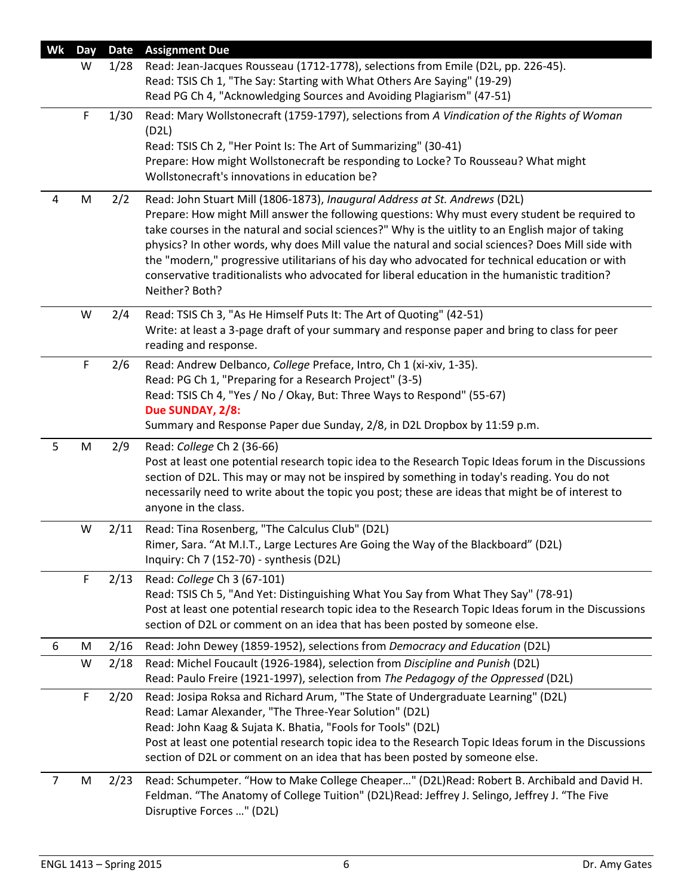| Wk             | Day | <b>Date</b> | <b>Assignment Due</b>                                                                                                                                                                                                                                                                                                                                                                                                                                                                                                                                                                                        |
|----------------|-----|-------------|--------------------------------------------------------------------------------------------------------------------------------------------------------------------------------------------------------------------------------------------------------------------------------------------------------------------------------------------------------------------------------------------------------------------------------------------------------------------------------------------------------------------------------------------------------------------------------------------------------------|
|                | W   | 1/28        | Read: Jean-Jacques Rousseau (1712-1778), selections from Emile (D2L, pp. 226-45).<br>Read: TSIS Ch 1, "The Say: Starting with What Others Are Saying" (19-29)<br>Read PG Ch 4, "Acknowledging Sources and Avoiding Plagiarism" (47-51)                                                                                                                                                                                                                                                                                                                                                                       |
|                | F   | 1/30        | Read: Mary Wollstonecraft (1759-1797), selections from A Vindication of the Rights of Woman<br>(D2L)<br>Read: TSIS Ch 2, "Her Point Is: The Art of Summarizing" (30-41)<br>Prepare: How might Wollstonecraft be responding to Locke? To Rousseau? What might<br>Wollstonecraft's innovations in education be?                                                                                                                                                                                                                                                                                                |
| 4              | M   | 2/2         | Read: John Stuart Mill (1806-1873), Inaugural Address at St. Andrews (D2L)<br>Prepare: How might Mill answer the following questions: Why must every student be required to<br>take courses in the natural and social sciences?" Why is the uitlity to an English major of taking<br>physics? In other words, why does Mill value the natural and social sciences? Does Mill side with<br>the "modern," progressive utilitarians of his day who advocated for technical education or with<br>conservative traditionalists who advocated for liberal education in the humanistic tradition?<br>Neither? Both? |
|                | W   | 2/4         | Read: TSIS Ch 3, "As He Himself Puts It: The Art of Quoting" (42-51)<br>Write: at least a 3-page draft of your summary and response paper and bring to class for peer<br>reading and response.                                                                                                                                                                                                                                                                                                                                                                                                               |
|                | F   | 2/6         | Read: Andrew Delbanco, College Preface, Intro, Ch 1 (xi-xiv, 1-35).<br>Read: PG Ch 1, "Preparing for a Research Project" (3-5)<br>Read: TSIS Ch 4, "Yes / No / Okay, But: Three Ways to Respond" (55-67)<br>Due SUNDAY, 2/8:<br>Summary and Response Paper due Sunday, 2/8, in D2L Dropbox by 11:59 p.m.                                                                                                                                                                                                                                                                                                     |
| 5              | M   | 2/9         | Read: College Ch 2 (36-66)<br>Post at least one potential research topic idea to the Research Topic Ideas forum in the Discussions<br>section of D2L. This may or may not be inspired by something in today's reading. You do not<br>necessarily need to write about the topic you post; these are ideas that might be of interest to<br>anyone in the class.                                                                                                                                                                                                                                                |
|                | W   | 2/11        | Read: Tina Rosenberg, "The Calculus Club" (D2L)<br>Rimer, Sara. "At M.I.T., Large Lectures Are Going the Way of the Blackboard" (D2L)<br>Inquiry: Ch 7 (152-70) - synthesis (D2L)                                                                                                                                                                                                                                                                                                                                                                                                                            |
|                | F   | 2/13        | Read: College Ch 3 (67-101)<br>Read: TSIS Ch 5, "And Yet: Distinguishing What You Say from What They Say" (78-91)<br>Post at least one potential research topic idea to the Research Topic Ideas forum in the Discussions<br>section of D2L or comment on an idea that has been posted by someone else.                                                                                                                                                                                                                                                                                                      |
| 6              | M   | 2/16        | Read: John Dewey (1859-1952), selections from Democracy and Education (D2L)                                                                                                                                                                                                                                                                                                                                                                                                                                                                                                                                  |
|                | W   | 2/18        | Read: Michel Foucault (1926-1984), selection from Discipline and Punish (D2L)<br>Read: Paulo Freire (1921-1997), selection from The Pedagogy of the Oppressed (D2L)                                                                                                                                                                                                                                                                                                                                                                                                                                          |
|                | F   | 2/20        | Read: Josipa Roksa and Richard Arum, "The State of Undergraduate Learning" (D2L)<br>Read: Lamar Alexander, "The Three-Year Solution" (D2L)<br>Read: John Kaag & Sujata K. Bhatia, "Fools for Tools" (D2L)<br>Post at least one potential research topic idea to the Research Topic Ideas forum in the Discussions<br>section of D2L or comment on an idea that has been posted by someone else.                                                                                                                                                                                                              |
| $\overline{7}$ | M   | 2/23        | Read: Schumpeter. "How to Make College Cheaper" (D2L)Read: Robert B. Archibald and David H.<br>Feldman. "The Anatomy of College Tuition" (D2L)Read: Jeffrey J. Selingo, Jeffrey J. "The Five<br>Disruptive Forces " (D2L)                                                                                                                                                                                                                                                                                                                                                                                    |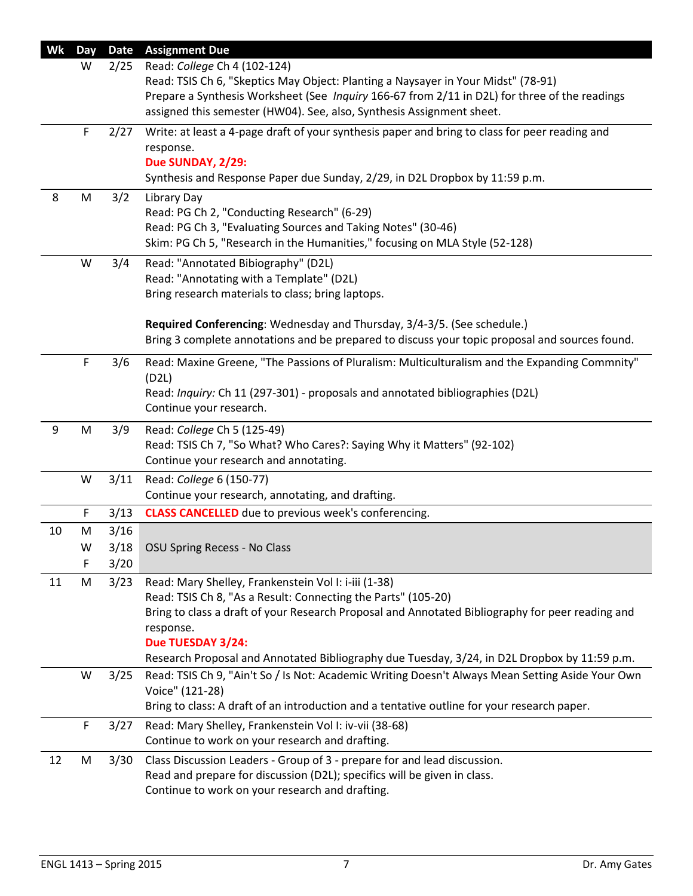| Wk    | Day | <b>Date</b> | <b>Assignment Due</b>                                                                            |
|-------|-----|-------------|--------------------------------------------------------------------------------------------------|
|       | W   | 2/25        | Read: College Ch 4 (102-124)                                                                     |
|       |     |             | Read: TSIS Ch 6, "Skeptics May Object: Planting a Naysayer in Your Midst" (78-91)                |
|       |     |             | Prepare a Synthesis Worksheet (See Inquiry 166-67 from 2/11 in D2L) for three of the readings    |
|       |     |             | assigned this semester (HW04). See, also, Synthesis Assignment sheet.                            |
|       | F   | 2/27        | Write: at least a 4-page draft of your synthesis paper and bring to class for peer reading and   |
|       |     |             | response.                                                                                        |
|       |     |             | Due SUNDAY, 2/29:                                                                                |
|       |     |             | Synthesis and Response Paper due Sunday, 2/29, in D2L Dropbox by 11:59 p.m.                      |
| 8     | M   | 3/2         | Library Day                                                                                      |
|       |     |             | Read: PG Ch 2, "Conducting Research" (6-29)                                                      |
|       |     |             | Read: PG Ch 3, "Evaluating Sources and Taking Notes" (30-46)                                     |
|       |     |             | Skim: PG Ch 5, "Research in the Humanities," focusing on MLA Style (52-128)                      |
|       | W   | 3/4         | Read: "Annotated Bibiography" (D2L)                                                              |
|       |     |             | Read: "Annotating with a Template" (D2L)                                                         |
|       |     |             | Bring research materials to class; bring laptops.                                                |
|       |     |             |                                                                                                  |
|       |     |             | Required Conferencing: Wednesday and Thursday, 3/4-3/5. (See schedule.)                          |
|       |     |             | Bring 3 complete annotations and be prepared to discuss your topic proposal and sources found.   |
|       | F   | 3/6         | Read: Maxine Greene, "The Passions of Pluralism: Multiculturalism and the Expanding Commnity"    |
|       |     |             | (D2L)                                                                                            |
|       |     |             | Read: Inquiry: Ch 11 (297-301) - proposals and annotated bibliographies (D2L)                    |
|       |     |             | Continue your research.                                                                          |
| $9\,$ | M   | 3/9         | Read: College Ch 5 (125-49)                                                                      |
|       |     |             | Read: TSIS Ch 7, "So What? Who Cares?: Saying Why it Matters" (92-102)                           |
|       |     |             | Continue your research and annotating.                                                           |
|       | W   | 3/11        | Read: College 6 (150-77)                                                                         |
|       |     |             | Continue your research, annotating, and drafting.                                                |
|       | F.  | 3/13        | <b>CLASS CANCELLED</b> due to previous week's conferencing.                                      |
| 10    | M   | 3/16        |                                                                                                  |
|       | W   | 3/18        | <b>OSU Spring Recess - No Class</b>                                                              |
|       | F   | 3/20        |                                                                                                  |
| 11    | M   | 3/23        | Read: Mary Shelley, Frankenstein Vol I: i-iii (1-38)                                             |
|       |     |             | Read: TSIS Ch 8, "As a Result: Connecting the Parts" (105-20)                                    |
|       |     |             | Bring to class a draft of your Research Proposal and Annotated Bibliography for peer reading and |
|       |     |             | response.                                                                                        |
|       |     |             | Due TUESDAY 3/24:                                                                                |
|       |     |             | Research Proposal and Annotated Bibliography due Tuesday, 3/24, in D2L Dropbox by 11:59 p.m.     |
|       | W   | 3/25        | Read: TSIS Ch 9, "Ain't So / Is Not: Academic Writing Doesn't Always Mean Setting Aside Your Own |
|       |     |             | Voice" (121-28)                                                                                  |
|       |     |             | Bring to class: A draft of an introduction and a tentative outline for your research paper.      |
|       | F   | 3/27        | Read: Mary Shelley, Frankenstein Vol I: iv-vii (38-68)                                           |
|       |     |             | Continue to work on your research and drafting.                                                  |
| 12    | M   | 3/30        | Class Discussion Leaders - Group of 3 - prepare for and lead discussion.                         |
|       |     |             | Read and prepare for discussion (D2L); specifics will be given in class.                         |
|       |     |             | Continue to work on your research and drafting.                                                  |